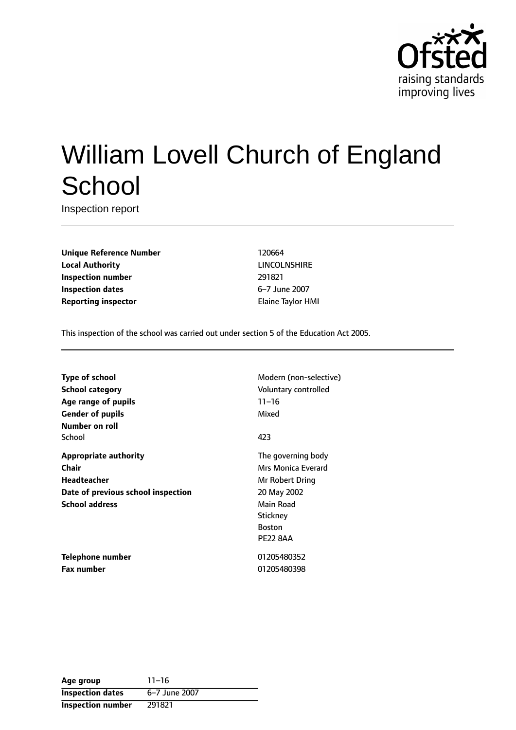

# William Lovell Church of England **School**

Inspection report

**Unique Reference Number** 120664 **Local Authority** LINCOLNSHIRE **Inspection number** 291821 **Inspection dates** 6-7 June 2007 **Reporting inspector Elaine Taylor HMI** 

This inspection of the school was carried out under section 5 of the Education Act 2005.

**Type of school** Modern (non-selective) **School category CONSIDER SCHOOL CATEGORY** Voluntary controlled **Age** range of pupils 11-16 **Gender of pupils** Mixed **Number on roll** School **423 Appropriate authority** The governing body **Chair** Mrs Monica Everard **Headteacher** Mr Robert Dring **Date of previous school inspection** 20 May 2002 **School address** Main Road

**Stickney** Boston PE22 8AA

**Telephone number** 01205480352 **Fax number** 01205480398

| Age group                | $11 - 16$     |
|--------------------------|---------------|
| <b>Inspection dates</b>  | 6-7 June 2007 |
| <b>Inspection number</b> | 291821        |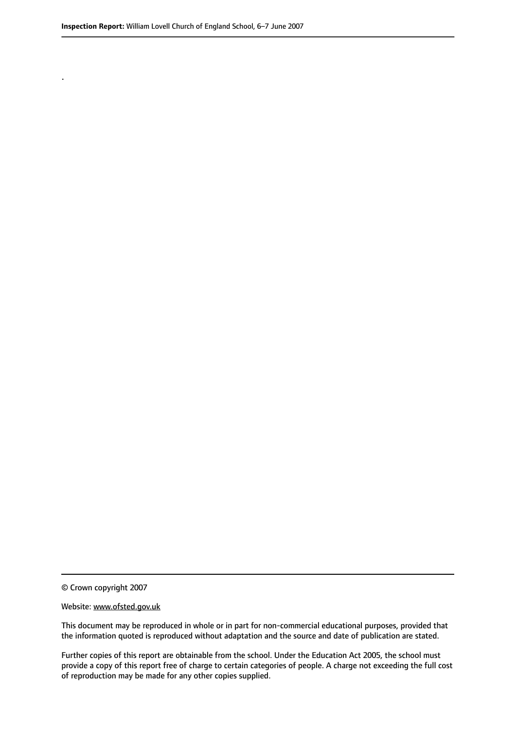.

© Crown copyright 2007

#### Website: www.ofsted.gov.uk

This document may be reproduced in whole or in part for non-commercial educational purposes, provided that the information quoted is reproduced without adaptation and the source and date of publication are stated.

Further copies of this report are obtainable from the school. Under the Education Act 2005, the school must provide a copy of this report free of charge to certain categories of people. A charge not exceeding the full cost of reproduction may be made for any other copies supplied.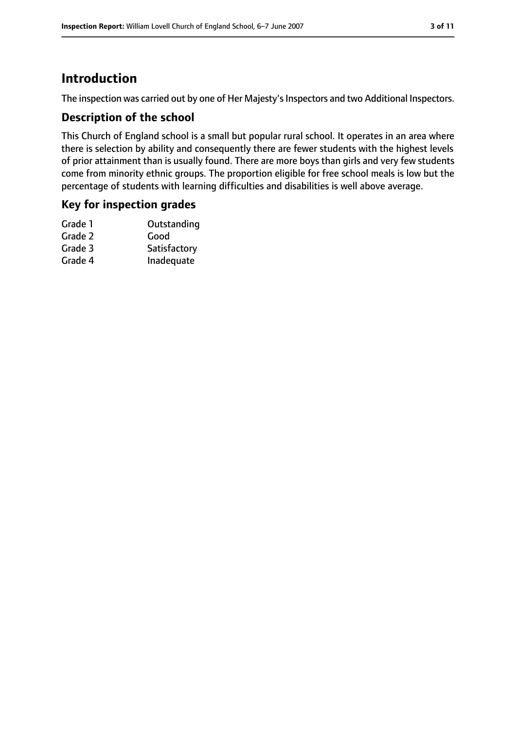## **Introduction**

The inspection was carried out by one of Her Majesty's Inspectors and two Additional Inspectors.

#### **Description of the school**

This Church of England school is a small but popular rural school. It operates in an area where there is selection by ability and consequently there are fewer students with the highest levels of prior attainment than is usually found. There are more boys than girls and very few students come from minority ethnic groups. The proportion eligible for free school meals is low but the percentage of students with learning difficulties and disabilities is well above average.

#### **Key for inspection grades**

| Outstanding  |
|--------------|
| Good         |
| Satisfactory |
| Inadequate   |
|              |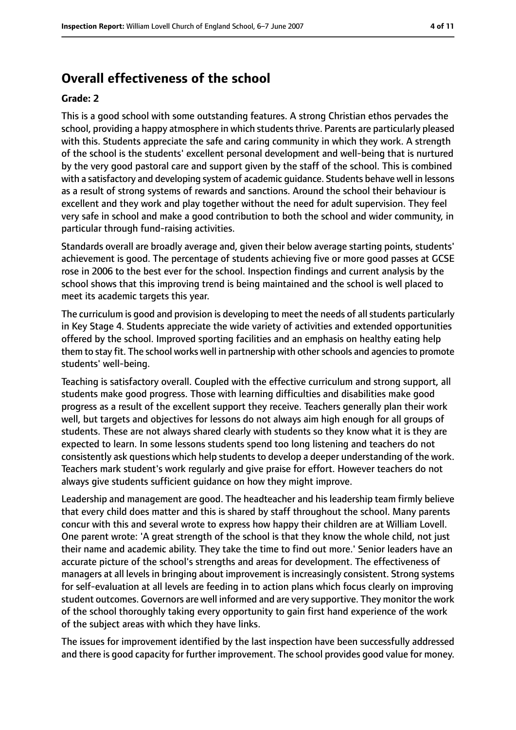## **Overall effectiveness of the school**

#### **Grade: 2**

This is a good school with some outstanding features. A strong Christian ethos pervades the school, providing a happy atmosphere in which students thrive. Parents are particularly pleased with this. Students appreciate the safe and caring community in which they work. A strength of the school is the students' excellent personal development and well-being that is nurtured by the very good pastoral care and support given by the staff of the school. This is combined with a satisfactory and developing system of academic guidance. Students behave well in lessons as a result of strong systems of rewards and sanctions. Around the school their behaviour is excellent and they work and play together without the need for adult supervision. They feel very safe in school and make a good contribution to both the school and wider community, in particular through fund-raising activities.

Standards overall are broadly average and, given their below average starting points, students' achievement is good. The percentage of students achieving five or more good passes at GCSE rose in 2006 to the best ever for the school. Inspection findings and current analysis by the school shows that this improving trend is being maintained and the school is well placed to meet its academic targets this year.

The curriculum is good and provision is developing to meet the needs of all students particularly in Key Stage 4. Students appreciate the wide variety of activities and extended opportunities offered by the school. Improved sporting facilities and an emphasis on healthy eating help them to stay fit. The school works well in partnership with other schools and agencies to promote students' well-being.

Teaching is satisfactory overall. Coupled with the effective curriculum and strong support, all students make good progress. Those with learning difficulties and disabilities make good progress as a result of the excellent support they receive. Teachers generally plan their work well, but targets and objectives for lessons do not always aim high enough for all groups of students. These are not always shared clearly with students so they know what it is they are expected to learn. In some lessons students spend too long listening and teachers do not consistently ask questions which help students to develop a deeper understanding of the work. Teachers mark student's work regularly and give praise for effort. However teachers do not always give students sufficient guidance on how they might improve.

Leadership and management are good. The headteacher and his leadership team firmly believe that every child does matter and this is shared by staff throughout the school. Many parents concur with this and several wrote to express how happy their children are at William Lovell. One parent wrote: 'A great strength of the school is that they know the whole child, not just their name and academic ability. They take the time to find out more.' Senior leaders have an accurate picture of the school's strengths and areas for development. The effectiveness of managers at all levels in bringing about improvement is increasingly consistent. Strong systems for self-evaluation at all levels are feeding in to action plans which focus clearly on improving student outcomes. Governors are well informed and are very supportive. They monitor the work of the school thoroughly taking every opportunity to gain first hand experience of the work of the subject areas with which they have links.

The issues for improvement identified by the last inspection have been successfully addressed and there is good capacity for further improvement. The school provides good value for money.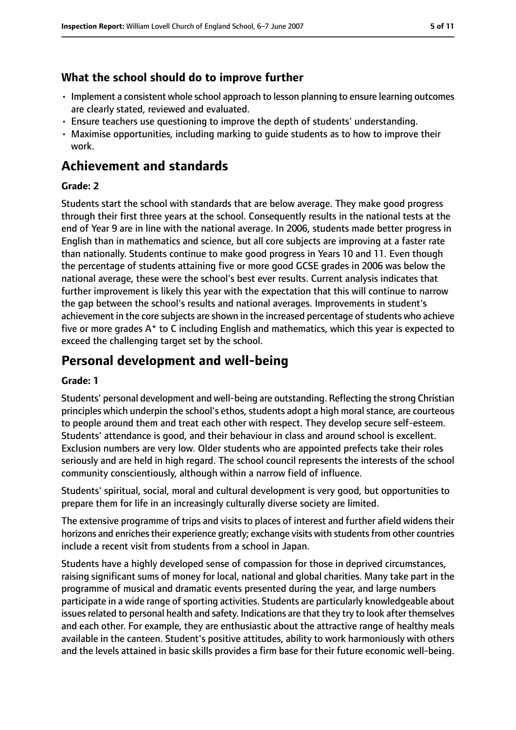#### **What the school should do to improve further**

- Implement a consistent whole school approach to lesson planning to ensure learning outcomes are clearly stated, reviewed and evaluated.
- Ensure teachers use questioning to improve the depth of students' understanding.
- Maximise opportunities, including marking to guide students as to how to improve their work.

## **Achievement and standards**

#### **Grade: 2**

Students start the school with standards that are below average. They make good progress through their first three years at the school. Consequently results in the national tests at the end of Year 9 are in line with the national average. In 2006, students made better progress in English than in mathematics and science, but all core subjects are improving at a faster rate than nationally. Students continue to make good progress in Years 10 and 11. Even though the percentage of students attaining five or more good GCSE grades in 2006 was below the national average, these were the school's best ever results. Current analysis indicates that further improvement is likely this year with the expectation that this will continue to narrow the gap between the school's results and national averages. Improvements in student's achievement in the core subjects are shown in the increased percentage of students who achieve five or more grades A\* to C including English and mathematics, which this year is expected to exceed the challenging target set by the school.

## **Personal development and well-being**

#### **Grade: 1**

Students' personal development and well-being are outstanding. Reflecting the strong Christian principles which underpin the school's ethos, students adopt a high moral stance, are courteous to people around them and treat each other with respect. They develop secure self-esteem. Students' attendance is good, and their behaviour in class and around school is excellent. Exclusion numbers are very low. Older students who are appointed prefects take their roles seriously and are held in high regard. The school council represents the interests of the school community conscientiously, although within a narrow field of influence.

Students' spiritual, social, moral and cultural development is very good, but opportunities to prepare them for life in an increasingly culturally diverse society are limited.

The extensive programme of trips and visits to places of interest and further afield widens their horizons and enriches their experience greatly; exchange visits with students from other countries include a recent visit from students from a school in Japan.

Students have a highly developed sense of compassion for those in deprived circumstances, raising significant sums of money for local, national and global charities. Many take part in the programme of musical and dramatic events presented during the year, and large numbers participate in a wide range of sporting activities. Students are particularly knowledgeable about issues related to personal health and safety. Indications are that they try to look after themselves and each other. For example, they are enthusiastic about the attractive range of healthy meals available in the canteen. Student's positive attitudes, ability to work harmoniously with others and the levels attained in basic skills provides a firm base for their future economic well-being.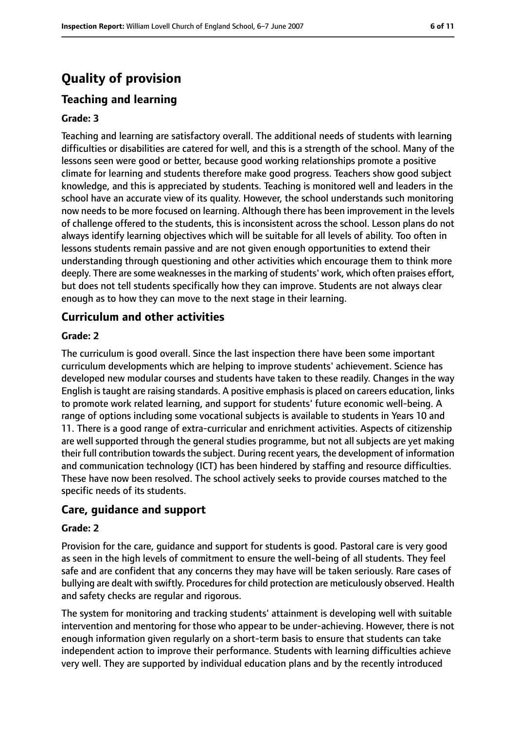## **Quality of provision**

## **Teaching and learning**

#### **Grade: 3**

Teaching and learning are satisfactory overall. The additional needs of students with learning difficulties or disabilities are catered for well, and this is a strength of the school. Many of the lessons seen were good or better, because good working relationships promote a positive climate for learning and students therefore make good progress. Teachers show good subject knowledge, and this is appreciated by students. Teaching is monitored well and leaders in the school have an accurate view of its quality. However, the school understands such monitoring now needs to be more focused on learning. Although there has been improvement in the levels of challenge offered to the students, this is inconsistent across the school. Lesson plans do not always identify learning objectives which will be suitable for all levels of ability. Too often in lessons students remain passive and are not given enough opportunities to extend their understanding through questioning and other activities which encourage them to think more deeply. There are some weaknesses in the marking of students' work, which often praises effort, but does not tell students specifically how they can improve. Students are not always clear enough as to how they can move to the next stage in their learning.

#### **Curriculum and other activities**

#### **Grade: 2**

The curriculum is good overall. Since the last inspection there have been some important curriculum developments which are helping to improve students' achievement. Science has developed new modular courses and students have taken to these readily. Changes in the way English istaught are raising standards. A positive emphasisis placed on careers education, links to promote work related learning, and support for students' future economic well-being. A range of options including some vocational subjects is available to students in Years 10 and 11. There is a good range of extra-curricular and enrichment activities. Aspects of citizenship are well supported through the general studies programme, but not all subjects are yet making their full contribution towards the subject. During recent years, the development of information and communication technology (ICT) has been hindered by staffing and resource difficulties. These have now been resolved. The school actively seeks to provide courses matched to the specific needs of its students.

#### **Care, guidance and support**

#### **Grade: 2**

Provision for the care, guidance and support for students is good. Pastoral care is very good as seen in the high levels of commitment to ensure the well-being of all students. They feel safe and are confident that any concerns they may have will be taken seriously. Rare cases of bullying are dealt with swiftly. Procedures for child protection are meticulously observed. Health and safety checks are regular and rigorous.

The system for monitoring and tracking students' attainment is developing well with suitable intervention and mentoring for those who appear to be under-achieving. However, there is not enough information given regularly on a short-term basis to ensure that students can take independent action to improve their performance. Students with learning difficulties achieve very well. They are supported by individual education plans and by the recently introduced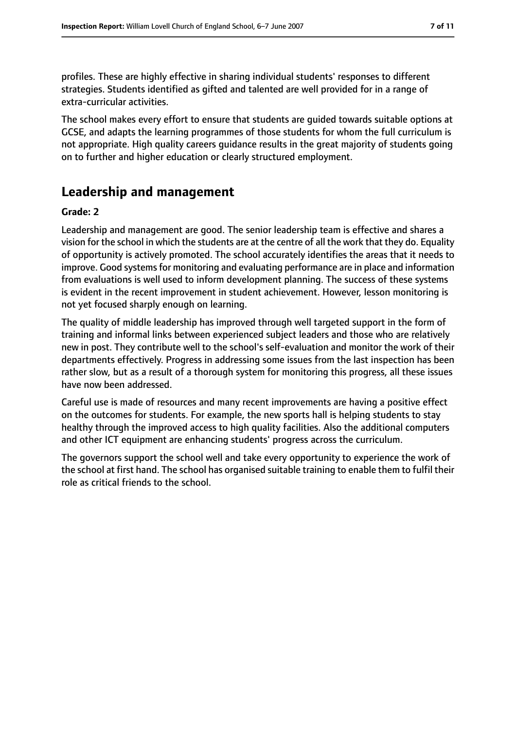profiles. These are highly effective in sharing individual students' responses to different strategies. Students identified as gifted and talented are well provided for in a range of extra-curricular activities.

The school makes every effort to ensure that students are guided towards suitable options at GCSE, and adapts the learning programmes of those students for whom the full curriculum is not appropriate. High quality careers guidance results in the great majority of students going on to further and higher education or clearly structured employment.

## **Leadership and management**

#### **Grade: 2**

Leadership and management are good. The senior leadership team is effective and shares a vision for the school in which the students are at the centre of all the work that they do. Equality of opportunity is actively promoted. The school accurately identifies the areas that it needs to improve. Good systems for monitoring and evaluating performance are in place and information from evaluations is well used to inform development planning. The success of these systems is evident in the recent improvement in student achievement. However, lesson monitoring is not yet focused sharply enough on learning.

The quality of middle leadership has improved through well targeted support in the form of training and informal links between experienced subject leaders and those who are relatively new in post. They contribute well to the school's self-evaluation and monitor the work of their departments effectively. Progress in addressing some issues from the last inspection has been rather slow, but as a result of a thorough system for monitoring this progress, all these issues have now been addressed.

Careful use is made of resources and many recent improvements are having a positive effect on the outcomes for students. For example, the new sports hall is helping students to stay healthy through the improved access to high quality facilities. Also the additional computers and other ICT equipment are enhancing students' progress across the curriculum.

The governors support the school well and take every opportunity to experience the work of the school at first hand. The school has organised suitable training to enable them to fulfil their role as critical friends to the school.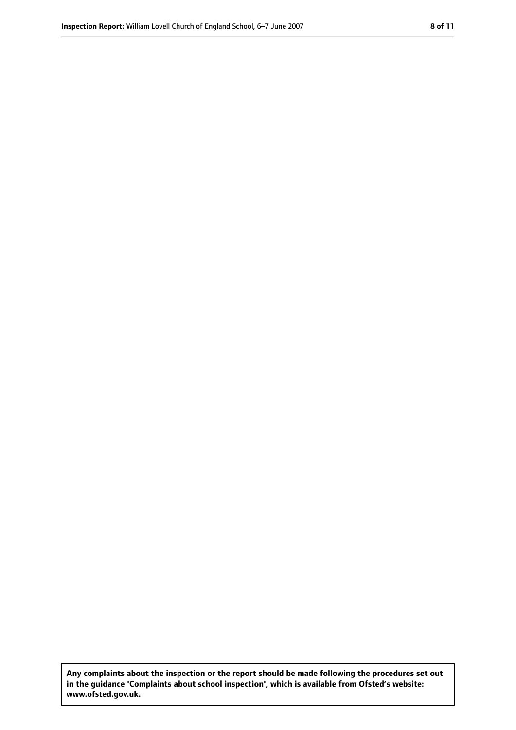**Any complaints about the inspection or the report should be made following the procedures set out in the guidance 'Complaints about school inspection', which is available from Ofsted's website: www.ofsted.gov.uk.**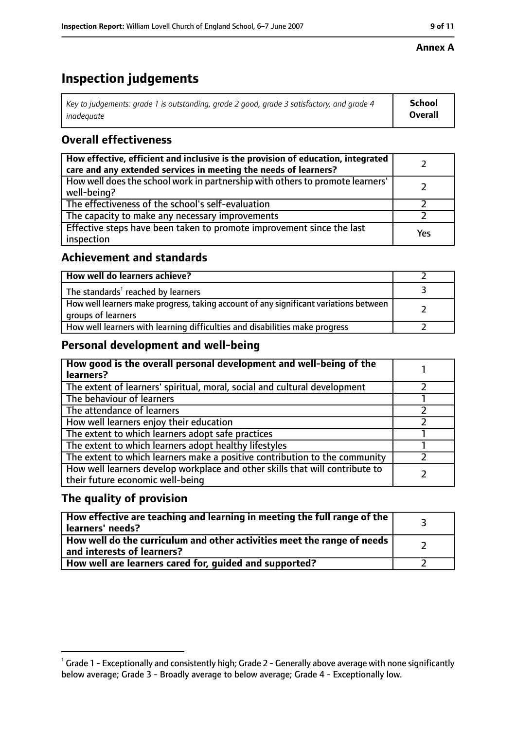#### **Annex A**

## **Inspection judgements**

| Key to judgements: grade 1 is outstanding, grade 2 good, grade 3 satisfactory, and grade 4 | School  |
|--------------------------------------------------------------------------------------------|---------|
| inadequate                                                                                 | Overall |

### **Overall effectiveness**

| How effective, efficient and inclusive is the provision of education, integrated<br>care and any extended services in meeting the needs of learners? |     |
|------------------------------------------------------------------------------------------------------------------------------------------------------|-----|
| How well does the school work in partnership with others to promote learners'<br>well-being?                                                         |     |
| The effectiveness of the school's self-evaluation                                                                                                    |     |
| The capacity to make any necessary improvements                                                                                                      |     |
| Effective steps have been taken to promote improvement since the last<br>inspection                                                                  | Yes |

#### **Achievement and standards**

| How well do learners achieve?                                                                               |  |
|-------------------------------------------------------------------------------------------------------------|--|
| The standards <sup>1</sup> reached by learners                                                              |  |
| How well learners make progress, taking account of any significant variations between<br>groups of learners |  |
| How well learners with learning difficulties and disabilities make progress                                 |  |

#### **Personal development and well-being**

| How good is the overall personal development and well-being of the<br>learners?                                  |  |
|------------------------------------------------------------------------------------------------------------------|--|
| The extent of learners' spiritual, moral, social and cultural development                                        |  |
| The behaviour of learners                                                                                        |  |
| The attendance of learners                                                                                       |  |
| How well learners enjoy their education                                                                          |  |
| The extent to which learners adopt safe practices                                                                |  |
| The extent to which learners adopt healthy lifestyles                                                            |  |
| The extent to which learners make a positive contribution to the community                                       |  |
| How well learners develop workplace and other skills that will contribute to<br>their future economic well-being |  |

#### **The quality of provision**

| How effective are teaching and learning in meeting the full range of the<br>learners' needs?          |  |
|-------------------------------------------------------------------------------------------------------|--|
| How well do the curriculum and other activities meet the range of needs<br>and interests of learners? |  |
| How well are learners cared for, quided and supported?                                                |  |

 $^1$  Grade 1 - Exceptionally and consistently high; Grade 2 - Generally above average with none significantly below average; Grade 3 - Broadly average to below average; Grade 4 - Exceptionally low.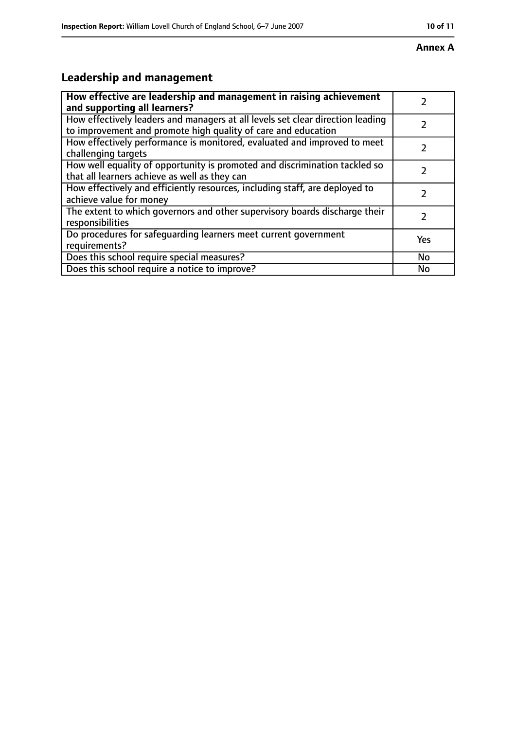#### **Annex A**

## **Leadership and management**

| How effective are leadership and management in raising achievement<br>and supporting all learners?                                              |           |
|-------------------------------------------------------------------------------------------------------------------------------------------------|-----------|
| How effectively leaders and managers at all levels set clear direction leading<br>to improvement and promote high quality of care and education |           |
| How effectively performance is monitored, evaluated and improved to meet<br>challenging targets                                                 |           |
| How well equality of opportunity is promoted and discrimination tackled so<br>that all learners achieve as well as they can                     |           |
| How effectively and efficiently resources, including staff, are deployed to<br>achieve value for money                                          |           |
| The extent to which governors and other supervisory boards discharge their<br>responsibilities                                                  |           |
| Do procedures for safequarding learners meet current government<br>requirements?                                                                | Yes       |
| Does this school require special measures?                                                                                                      | <b>No</b> |
| Does this school require a notice to improve?                                                                                                   | No        |